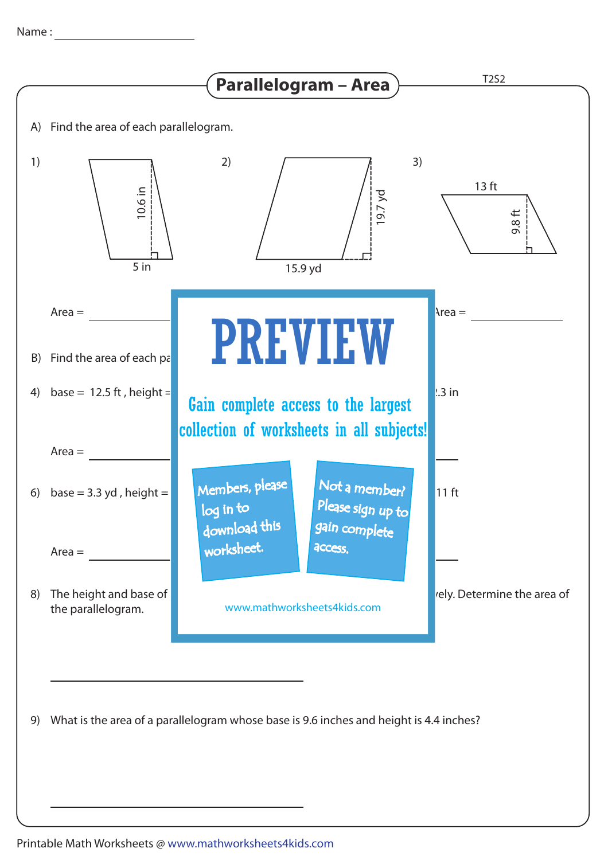